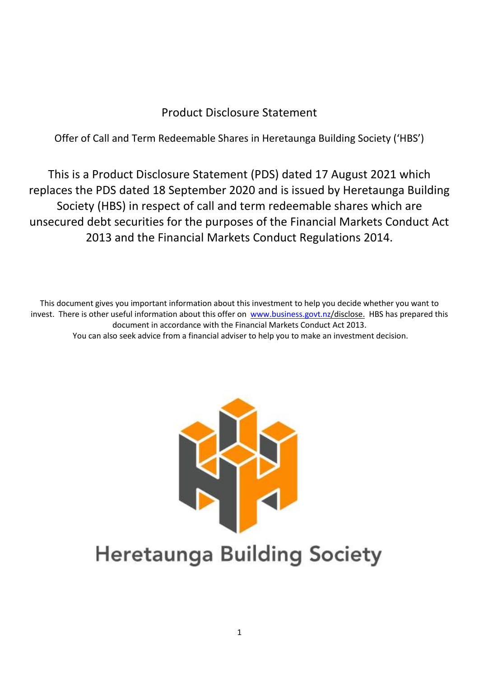# Product Disclosure Statement

Offer of Call and Term Redeemable Shares in Heretaunga Building Society ('HBS')

This is a Product Disclosure Statement (PDS) dated 17 August 2021 which replaces the PDS dated 18 September 2020 and is issued by Heretaunga Building Society (HBS) in respect of call and term redeemable shares which are unsecured debt securities for the purposes of the Financial Markets Conduct Act 2013 and the Financial Markets Conduct Regulations 2014.

This document gives you important information about this investment to help you decide whether you want to invest. There is other useful information about this offer on [www.business.govt.nz/](http://www.business.govt.nz/)disclose. HBS has prepared this document in accordance with the Financial Markets Conduct Act 2013. You can also seek advice from a financial adviser to help you to make an investment decision.



# **Heretaunga Building Society**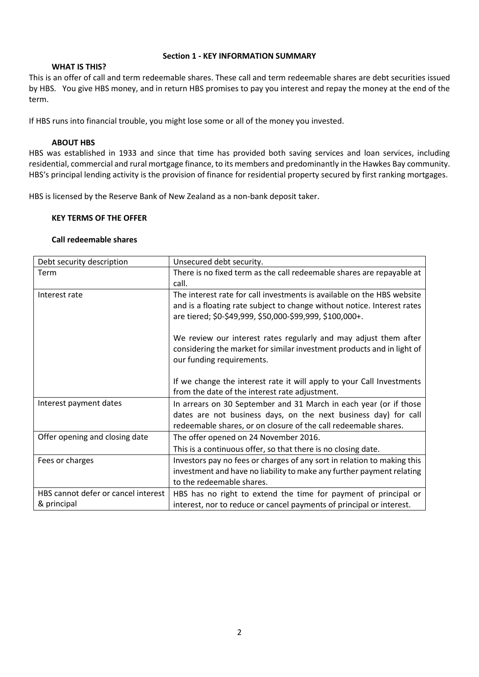#### **Section 1 - KEY INFORMATION SUMMARY**

#### **WHAT IS THIS?**

This is an offer of call and term redeemable shares. These call and term redeemable shares are debt securities issued by HBS. You give HBS money, and in return HBS promises to pay you interest and repay the money at the end of the term.

If HBS runs into financial trouble, you might lose some or all of the money you invested.

#### **ABOUT HBS**

HBS was established in 1933 and since that time has provided both saving services and loan services, including residential, commercial and rural mortgage finance, to its members and predominantly in the Hawkes Bay community. HBS's principal lending activity is the provision of finance for residential property secured by first ranking mortgages.

HBS is licensed by the Reserve Bank of New Zealand as a non-bank deposit taker.

#### **KEY TERMS OF THE OFFER**

#### **Call redeemable shares**

| Debt security description           | Unsecured debt security.                                                |
|-------------------------------------|-------------------------------------------------------------------------|
| Term                                | There is no fixed term as the call redeemable shares are repayable at   |
|                                     | call.                                                                   |
| Interest rate                       | The interest rate for call investments is available on the HBS website  |
|                                     | and is a floating rate subject to change without notice. Interest rates |
|                                     | are tiered; \$0-\$49,999, \$50,000-\$99,999, \$100,000+.                |
|                                     |                                                                         |
|                                     | We review our interest rates regularly and may adjust them after        |
|                                     | considering the market for similar investment products and in light of  |
|                                     | our funding requirements.                                               |
|                                     | If we change the interest rate it will apply to your Call Investments   |
|                                     | from the date of the interest rate adjustment.                          |
| Interest payment dates              | In arrears on 30 September and 31 March in each year (or if those       |
|                                     | dates are not business days, on the next business day) for call         |
|                                     | redeemable shares, or on closure of the call redeemable shares.         |
| Offer opening and closing date      | The offer opened on 24 November 2016.                                   |
|                                     | This is a continuous offer, so that there is no closing date.           |
| Fees or charges                     | Investors pay no fees or charges of any sort in relation to making this |
|                                     | investment and have no liability to make any further payment relating   |
|                                     | to the redeemable shares.                                               |
| HBS cannot defer or cancel interest | HBS has no right to extend the time for payment of principal or         |
| & principal                         | interest, nor to reduce or cancel payments of principal or interest.    |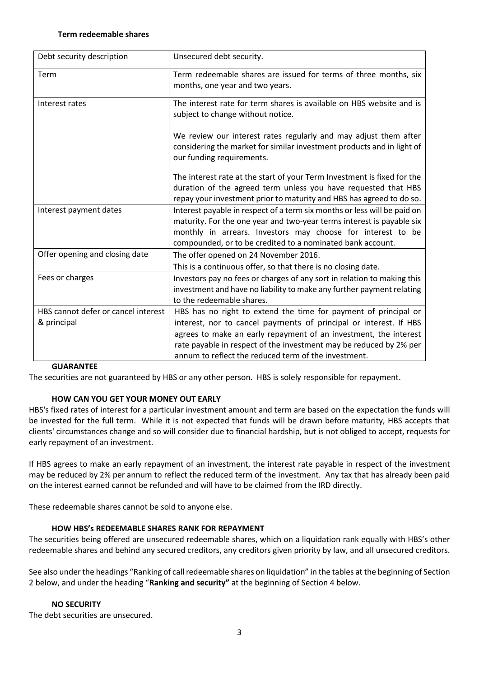#### **Term redeemable shares**

| Debt security description           | Unsecured debt security.                                                                                                                                                                                                                                                       |
|-------------------------------------|--------------------------------------------------------------------------------------------------------------------------------------------------------------------------------------------------------------------------------------------------------------------------------|
| Term                                | Term redeemable shares are issued for terms of three months, six<br>months, one year and two years.                                                                                                                                                                            |
| Interest rates                      | The interest rate for term shares is available on HBS website and is<br>subject to change without notice.                                                                                                                                                                      |
|                                     | We review our interest rates regularly and may adjust them after<br>considering the market for similar investment products and in light of<br>our funding requirements.                                                                                                        |
|                                     | The interest rate at the start of your Term Investment is fixed for the<br>duration of the agreed term unless you have requested that HBS<br>repay your investment prior to maturity and HBS has agreed to do so.                                                              |
| Interest payment dates              | Interest payable in respect of a term six months or less will be paid on<br>maturity. For the one year and two-year terms interest is payable six<br>monthly in arrears. Investors may choose for interest to be<br>compounded, or to be credited to a nominated bank account. |
| Offer opening and closing date      | The offer opened on 24 November 2016.                                                                                                                                                                                                                                          |
|                                     | This is a continuous offer, so that there is no closing date.                                                                                                                                                                                                                  |
| Fees or charges                     | Investors pay no fees or charges of any sort in relation to making this<br>investment and have no liability to make any further payment relating<br>to the redeemable shares.                                                                                                  |
| HBS cannot defer or cancel interest | HBS has no right to extend the time for payment of principal or                                                                                                                                                                                                                |
| & principal                         | interest, nor to cancel payments of principal or interest. If HBS                                                                                                                                                                                                              |
|                                     | agrees to make an early repayment of an investment, the interest                                                                                                                                                                                                               |
|                                     | rate payable in respect of the investment may be reduced by 2% per                                                                                                                                                                                                             |
|                                     | annum to reflect the reduced term of the investment.                                                                                                                                                                                                                           |

#### **GUARANTEE**

The securities are not guaranteed by HBS or any other person. HBS is solely responsible for repayment.

#### **HOW CAN YOU GET YOUR MONEY OUT EARLY**

HBS's fixed rates of interest for a particular investment amount and term are based on the expectation the funds will be invested for the full term. While it is not expected that funds will be drawn before maturity, HBS accepts that clients' circumstances change and so will consider due to financial hardship, but is not obliged to accept, requests for early repayment of an investment.

If HBS agrees to make an early repayment of an investment, the interest rate payable in respect of the investment may be reduced by 2% per annum to reflect the reduced term of the investment. Any tax that has already been paid on the interest earned cannot be refunded and will have to be claimed from the IRD directly.

These redeemable shares cannot be sold to anyone else.

#### **HOW HBS's REDEEMABLE SHARES RANK FOR REPAYMENT**

The securities being offered are unsecured redeemable shares, which on a liquidation rank equally with HBS's other redeemable shares and behind any secured creditors, any creditors given priority by law, and all unsecured creditors.

See also under the headings "Ranking of call redeemable shares on liquidation" in the tables at the beginning of Section 2 below, and under the heading "**Ranking and security"** at the beginning of Section 4 below.

#### **NO SECURITY**

The debt securities are unsecured.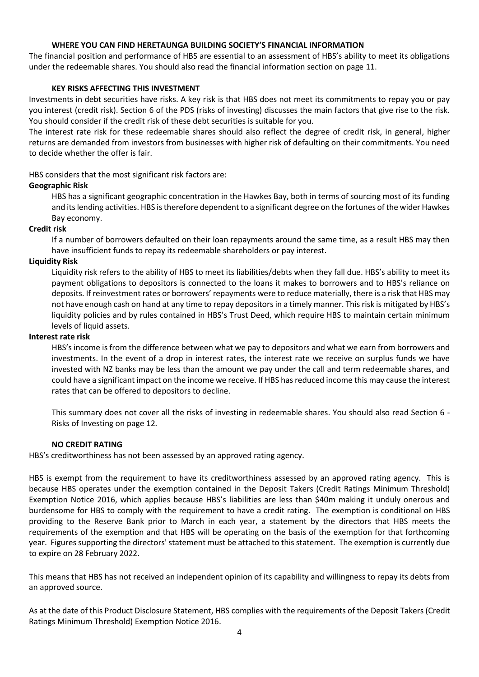# **WHERE YOU CAN FIND HERETAUNGA BUILDING SOCIETY'S FINANCIAL INFORMATION**

The financial position and performance of HBS are essential to an assessment of HBS's ability to meet its obligations under the redeemable shares. You should also read the financial information section on page 11.

# **KEY RISKS AFFECTING THIS INVESTMENT**

Investments in debt securities have risks. A key risk is that HBS does not meet its commitments to repay you or pay you interest (credit risk). Section 6 of the PDS (risks of investing) discusses the main factors that give rise to the risk. You should consider if the credit risk of these debt securities is suitable for you.

The interest rate risk for these redeemable shares should also reflect the degree of credit risk, in general, higher returns are demanded from investors from businesses with higher risk of defaulting on their commitments. You need to decide whether the offer is fair.

HBS considers that the most significant risk factors are:

# **Geographic Risk**

HBS has a significant geographic concentration in the Hawkes Bay, both in terms of sourcing most of its funding and its lending activities. HBS is therefore dependent to a significant degree on the fortunes of the wider Hawkes Bay economy.

# **Credit risk**

If a number of borrowers defaulted on their loan repayments around the same time, as a result HBS may then have insufficient funds to repay its redeemable shareholders or pay interest.

# **Liquidity Risk**

Liquidity risk refers to the ability of HBS to meet its liabilities/debts when they fall due. HBS's ability to meet its payment obligations to depositors is connected to the loans it makes to borrowers and to HBS's reliance on deposits. If reinvestment rates or borrowers' repayments were to reduce materially, there is a risk that HBS may not have enough cash on hand at any time to repay depositors in a timely manner. This risk is mitigated by HBS's liquidity policies and by rules contained in HBS's Trust Deed, which require HBS to maintain certain minimum levels of liquid assets.

#### **Interest rate risk**

HBS's income is from the difference between what we pay to depositors and what we earn from borrowers and investments. In the event of a drop in interest rates, the interest rate we receive on surplus funds we have invested with NZ banks may be less than the amount we pay under the call and term redeemable shares, and could have a significant impact on the income we receive. If HBS has reduced income this may cause the interest rates that can be offered to depositors to decline.

This summary does not cover all the risks of investing in redeemable shares. You should also read Section 6 - Risks of Investing on page 12*.*

#### **NO CREDIT RATING**

HBS's creditworthiness has not been assessed by an approved rating agency.

HBS is exempt from the requirement to have its creditworthiness assessed by an approved rating agency. This is because HBS operates under the exemption contained in the Deposit Takers (Credit Ratings Minimum Threshold) Exemption Notice 2016, which applies because HBS's liabilities are less than \$40m making it unduly onerous and burdensome for HBS to comply with the requirement to have a credit rating. The exemption is conditional on HBS providing to the Reserve Bank prior to March in each year, a statement by the directors that HBS meets the requirements of the exemption and that HBS will be operating on the basis of the exemption for that forthcoming year. Figures supporting the directors' statement must be attached to this statement. The exemption is currently due to expire on 28 February 2022.

This means that HBS has not received an independent opinion of its capability and willingness to repay its debts from an approved source.

As at the date of this Product Disclosure Statement, HBS complies with the requirements of the Deposit Takers (Credit Ratings Minimum Threshold) Exemption Notice 2016.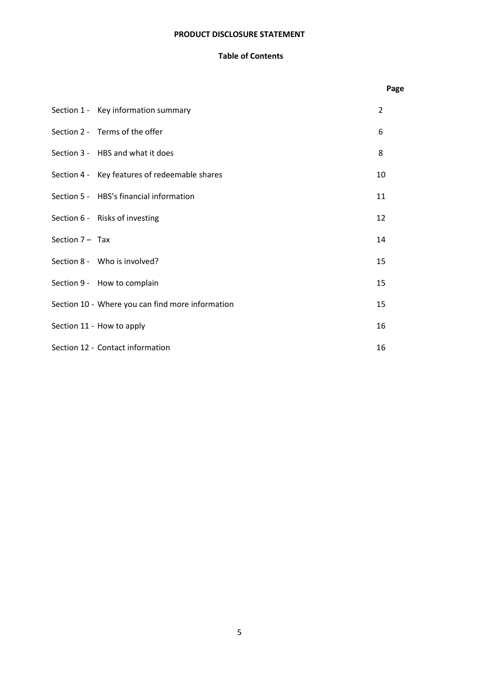# **PRODUCT DISCLOSURE STATEMENT**

# **Table of Contents**

|                   |                                                  | Page |
|-------------------|--------------------------------------------------|------|
|                   | Section 1 - Key information summary              | 2    |
|                   | Section 2 - Terms of the offer                   | 6    |
|                   | Section 3 - HBS and what it does                 | 8    |
|                   | Section 4 - Key features of redeemable shares    | 10   |
|                   | Section 5 - HBS's financial information          | 11   |
|                   | Section 6 - Risks of investing                   | 12   |
| Section $7 -$ Tax |                                                  | 14   |
|                   | Section 8 - Who is involved?                     | 15   |
|                   | Section 9 - How to complain                      | 15   |
|                   | Section 10 - Where you can find more information | 15   |
|                   | Section 11 - How to apply                        | 16   |
|                   | Section 12 - Contact information                 | 16   |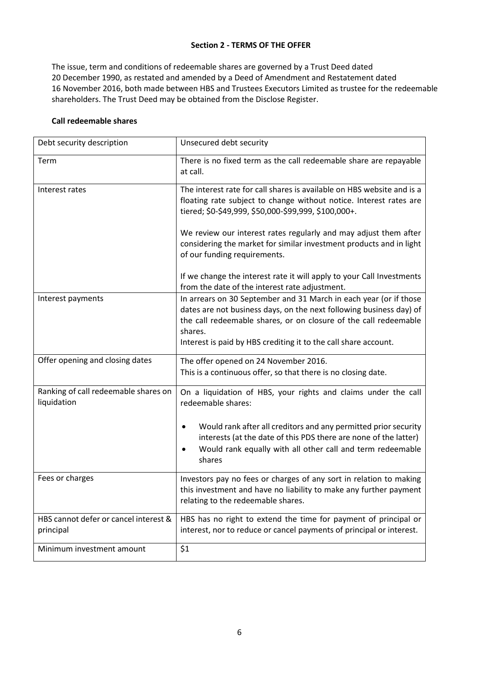# **Section 2 - TERMS OF THE OFFER**

The issue, term and conditions of redeemable shares are governed by a Trust Deed dated 20 December 1990, as restated and amended by a Deed of Amendment and Restatement dated 16 November 2016, both made between HBS and Trustees Executors Limited as trustee for the redeemable shareholders. The Trust Deed may be obtained from the Disclose Register.

# **Call redeemable shares**

| Debt security description                           | Unsecured debt security                                                                                                                                                                                                                                                                    |
|-----------------------------------------------------|--------------------------------------------------------------------------------------------------------------------------------------------------------------------------------------------------------------------------------------------------------------------------------------------|
| Term                                                | There is no fixed term as the call redeemable share are repayable<br>at call.                                                                                                                                                                                                              |
| Interest rates                                      | The interest rate for call shares is available on HBS website and is a<br>floating rate subject to change without notice. Interest rates are<br>tiered; \$0-\$49,999, \$50,000-\$99,999, \$100,000+.                                                                                       |
|                                                     | We review our interest rates regularly and may adjust them after<br>considering the market for similar investment products and in light<br>of our funding requirements.                                                                                                                    |
|                                                     | If we change the interest rate it will apply to your Call Investments<br>from the date of the interest rate adjustment.                                                                                                                                                                    |
| Interest payments                                   | In arrears on 30 September and 31 March in each year (or if those<br>dates are not business days, on the next following business day) of<br>the call redeemable shares, or on closure of the call redeemable<br>shares.<br>Interest is paid by HBS crediting it to the call share account. |
| Offer opening and closing dates                     | The offer opened on 24 November 2016.<br>This is a continuous offer, so that there is no closing date.                                                                                                                                                                                     |
| Ranking of call redeemable shares on<br>liquidation | On a liquidation of HBS, your rights and claims under the call<br>redeemable shares:                                                                                                                                                                                                       |
|                                                     | Would rank after all creditors and any permitted prior security<br>interests (at the date of this PDS there are none of the latter)<br>Would rank equally with all other call and term redeemable<br>shares                                                                                |
| Fees or charges                                     | Investors pay no fees or charges of any sort in relation to making<br>this investment and have no liability to make any further payment<br>relating to the redeemable shares.                                                                                                              |
| HBS cannot defer or cancel interest &<br>principal  | HBS has no right to extend the time for payment of principal or<br>interest, nor to reduce or cancel payments of principal or interest.                                                                                                                                                    |
| Minimum investment amount                           | \$1                                                                                                                                                                                                                                                                                        |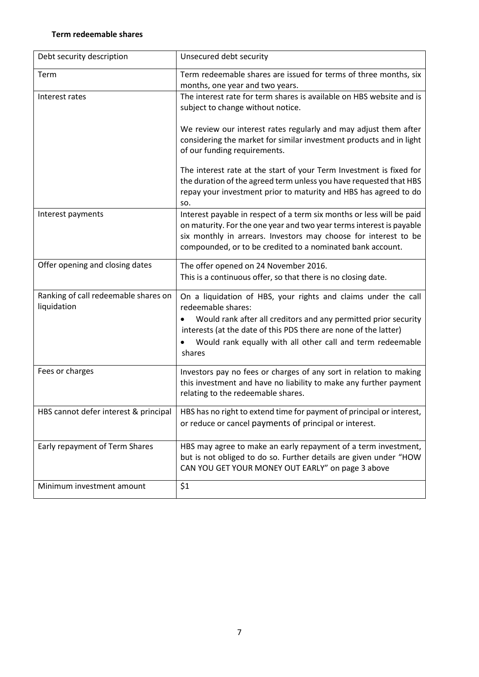# **Term redeemable shares**

| Debt security description                           | Unsecured debt security                                                                                                                                                                                                                                                                             |
|-----------------------------------------------------|-----------------------------------------------------------------------------------------------------------------------------------------------------------------------------------------------------------------------------------------------------------------------------------------------------|
| Term                                                | Term redeemable shares are issued for terms of three months, six<br>months, one year and two years.                                                                                                                                                                                                 |
| Interest rates                                      | The interest rate for term shares is available on HBS website and is<br>subject to change without notice.                                                                                                                                                                                           |
|                                                     | We review our interest rates regularly and may adjust them after<br>considering the market for similar investment products and in light<br>of our funding requirements.                                                                                                                             |
|                                                     | The interest rate at the start of your Term Investment is fixed for<br>the duration of the agreed term unless you have requested that HBS<br>repay your investment prior to maturity and HBS has agreed to do<br>SO.                                                                                |
| Interest payments                                   | Interest payable in respect of a term six months or less will be paid<br>on maturity. For the one year and two year terms interest is payable<br>six monthly in arrears. Investors may choose for interest to be<br>compounded, or to be credited to a nominated bank account.                      |
| Offer opening and closing dates                     | The offer opened on 24 November 2016.<br>This is a continuous offer, so that there is no closing date.                                                                                                                                                                                              |
| Ranking of call redeemable shares on<br>liquidation | On a liquidation of HBS, your rights and claims under the call<br>redeemable shares:<br>Would rank after all creditors and any permitted prior security<br>interests (at the date of this PDS there are none of the latter)<br>Would rank equally with all other call and term redeemable<br>shares |
| Fees or charges                                     | Investors pay no fees or charges of any sort in relation to making<br>this investment and have no liability to make any further payment<br>relating to the redeemable shares.                                                                                                                       |
| HBS cannot defer interest & principal               | HBS has no right to extend time for payment of principal or interest,<br>or reduce or cancel payments of principal or interest.                                                                                                                                                                     |
| Early repayment of Term Shares                      | HBS may agree to make an early repayment of a term investment,<br>but is not obliged to do so. Further details are given under "HOW<br>CAN YOU GET YOUR MONEY OUT EARLY" on page 3 above                                                                                                            |
| Minimum investment amount                           | \$1                                                                                                                                                                                                                                                                                                 |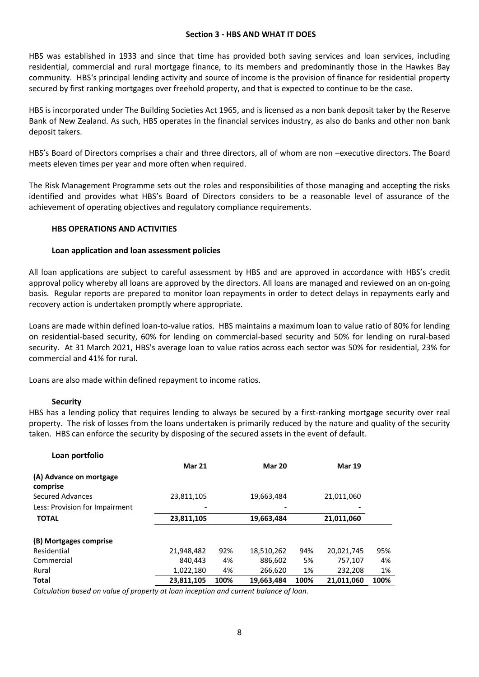#### **Section 3 - HBS AND WHAT IT DOES**

HBS was established in 1933 and since that time has provided both saving services and loan services, including residential, commercial and rural mortgage finance, to its members and predominantly those in the Hawkes Bay community. HBS's principal lending activity and source of income is the provision of finance for residential property secured by first ranking mortgages over freehold property, and that is expected to continue to be the case.

HBS is incorporated under The Building Societies Act 1965, and is licensed as a non bank deposit taker by the Reserve Bank of New Zealand. As such, HBS operates in the financial services industry, as also do banks and other non bank deposit takers.

HBS's Board of Directors comprises a chair and three directors, all of whom are non –executive directors. The Board meets eleven times per year and more often when required.

The Risk Management Programme sets out the roles and responsibilities of those managing and accepting the risks identified and provides what HBS's Board of Directors considers to be a reasonable level of assurance of the achievement of operating objectives and regulatory compliance requirements.

#### **HBS OPERATIONS AND ACTIVITIES**

#### **Loan application and loan assessment policies**

All loan applications are subject to careful assessment by HBS and are approved in accordance with HBS's credit approval policy whereby all loans are approved by the directors. All loans are managed and reviewed on an on-going basis. Regular reports are prepared to monitor loan repayments in order to detect delays in repayments early and recovery action is undertaken promptly where appropriate.

Loans are made within defined loan-to-value ratios. HBS maintains a maximum loan to value ratio of 80% for lending on residential-based security, 60% for lending on commercial-based security and 50% for lending on rural-based security. At 31 March 2021, HBS's average loan to value ratios across each sector was 50% for residential, 23% for commercial and 41% for rural.

Loans are also made within defined repayment to income ratios.

#### **Security**

HBS has a lending policy that requires lending to always be secured by a first-ranking mortgage security over real property. The risk of losses from the loans undertaken is primarily reduced by the nature and quality of the security taken. HBS can enforce the security by disposing of the secured assets in the event of default.

| Loan portfolio                      |               |      |               |      |               |      |
|-------------------------------------|---------------|------|---------------|------|---------------|------|
|                                     | <b>Mar 21</b> |      | <b>Mar 20</b> |      | <b>Mar 19</b> |      |
| (A) Advance on mortgage<br>comprise |               |      |               |      |               |      |
| Secured Advances                    | 23,811,105    |      | 19,663,484    |      | 21,011,060    |      |
| Less: Provision for Impairment      |               |      |               |      |               |      |
| <b>TOTAL</b>                        | 23,811,105    |      | 19,663,484    |      | 21,011,060    |      |
| (B) Mortgages comprise              |               |      |               |      |               |      |
| Residential                         | 21,948,482    | 92%  | 18,510,262    | 94%  | 20,021,745    | 95%  |
| Commercial                          | 840.443       | 4%   | 886,602       | 5%   | 757,107       | 4%   |
| Rural                               | 1,022,180     | 4%   | 266,620       | 1%   | 232,208       | 1%   |
| <b>Total</b>                        | 23,811,105    | 100% | 19,663,484    | 100% | 21,011,060    | 100% |

*Calculation based on value of property at loan inception and current balance of loan.*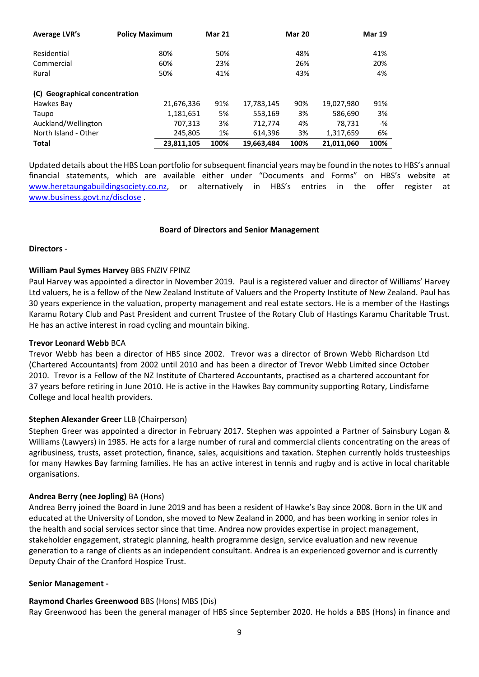| Average LVR's                  | <b>Policy Maximum</b> | <b>Mar 21</b> |            | <b>Mar 20</b> |            | <b>Mar 19</b> |
|--------------------------------|-----------------------|---------------|------------|---------------|------------|---------------|
| Residential                    | 80%                   | 50%           |            | 48%           |            | 41%           |
| Commercial                     | 60%                   | 23%           |            | 26%           |            | 20%           |
| Rural                          | 50%                   | 41%           |            | 43%           |            | 4%            |
| (C) Geographical concentration |                       |               |            |               |            |               |
| Hawkes Bay                     | 21,676,336            | 91%           | 17,783,145 | 90%           | 19,027,980 | 91%           |
| Taupo                          | 1,181,651             | 5%            | 553,169    | 3%            | 586,690    | 3%            |
| Auckland/Wellington            | 707,313               | 3%            | 712,774    | 4%            | 78,731     | -%            |
| North Island - Other           | 245,805               | 1%            | 614,396    | 3%            | 1,317,659  | 6%            |
| <b>Total</b>                   | 23,811,105            | 100%          | 19,663,484 | 100%          | 21,011,060 | 100%          |

Updated details about the HBS Loan portfolio for subsequent financial years may be found in the notes to HBS's annual financial statements, which are available either under "Documents and Forms" on HBS's website at [www.heretaungabuildingsociety.co.nz,](http://www.heretaungabuildingsociety.co.nz/) or alternatively in HBS's entries in the offer register at [www.business.govt.nz/disclose](http://www.business.givt.nz/disclose) .

#### **Board of Directors and Senior Management**

#### **Directors** -

#### **William Paul Symes Harvey** BBS FNZIV FPINZ

Paul Harvey was appointed a director in November 2019. Paul is a registered valuer and director of Williams' Harvey Ltd valuers, he is a fellow of the New Zealand Institute of Valuers and the Property Institute of New Zealand. Paul has 30 years experience in the valuation, property management and real estate sectors. He is a member of the Hastings Karamu Rotary Club and Past President and current Trustee of the Rotary Club of Hastings Karamu Charitable Trust. He has an active interest in road cycling and mountain biking.

#### **Trevor Leonard Webb** BCA

Trevor Webb has been a director of HBS since 2002. Trevor was a director of Brown Webb Richardson Ltd (Chartered Accountants) from 2002 until 2010 and has been a director of Trevor Webb Limited since October 2010. Trevor is a Fellow of the NZ Institute of Chartered Accountants, practised as a chartered accountant for 37 years before retiring in June 2010. He is active in the Hawkes Bay community supporting Rotary, Lindisfarne College and local health providers.

## **Stephen Alexander Greer** LLB (Chairperson)

Stephen Greer was appointed a director in February 2017. Stephen was appointed a Partner of Sainsbury Logan & Williams (Lawyers) in 1985. He acts for a large number of rural and commercial clients concentrating on the areas of agribusiness, trusts, asset protection, finance, sales, acquisitions and taxation. Stephen currently holds trusteeships for many Hawkes Bay farming families. He has an active interest in tennis and rugby and is active in local charitable organisations.

#### **Andrea Berry (nee Jopling)** BA (Hons)

Andrea Berry joined the Board in June 2019 and has been a resident of Hawke's Bay since 2008. Born in the UK and educated at the University of London, she moved to New Zealand in 2000, and has been working in senior roles in the health and social services sector since that time. Andrea now provides expertise in project management, stakeholder engagement, strategic planning, health programme design, service evaluation and new revenue generation to a range of clients as an independent consultant. Andrea is an experienced governor and is currently Deputy Chair of the Cranford Hospice Trust.

#### **Senior Management -**

#### **Raymond Charles Greenwood** BBS (Hons) MBS (Dis)

Ray Greenwood has been the general manager of HBS since September 2020. He holds a BBS (Hons) in finance and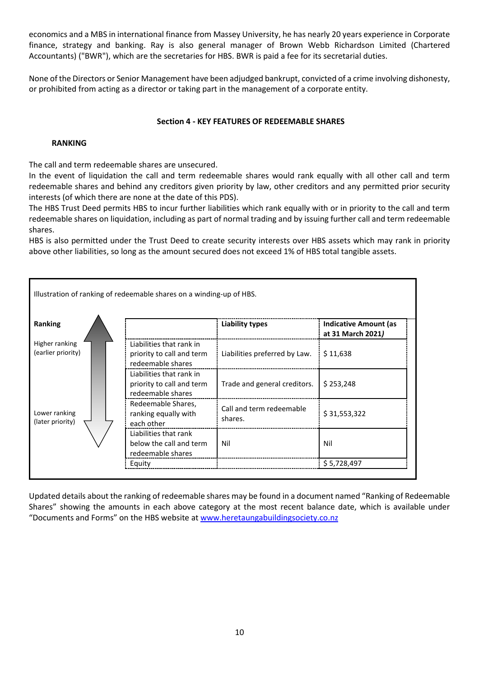economics and a MBS in international finance from Massey University, he has nearly 20 years experience in Corporate finance, strategy and banking. Ray is also general manager of Brown Webb Richardson Limited (Chartered Accountants) ("BWR"), which are the secretaries for HBS. BWR is paid a fee for its secretarial duties.

None of the Directors or Senior Management have been adjudged bankrupt, convicted of a crime involving dishonesty, or prohibited from acting as a director or taking part in the management of a corporate entity.

# **Section 4 - KEY FEATURES OF REDEEMABLE SHARES**

# **RANKING**

The call and term redeemable shares are unsecured.

In the event of liquidation the call and term redeemable shares would rank equally with all other call and term redeemable shares and behind any creditors given priority by law, other creditors and any permitted prior security interests (of which there are none at the date of this PDS).

The HBS Trust Deed permits HBS to incur further liabilities which rank equally with or in priority to the call and term redeemable shares on liquidation, including as part of normal trading and by issuing further call and term redeemable shares.

HBS is also permitted under the Trust Deed to create security interests over HBS assets which may rank in priority above other liabilities, so long as the amount secured does not exceed 1% of HBS total tangible assets.



Updated details about the ranking of redeemable shares may be found in a document named "Ranking of Redeemable Shares" showing the amounts in each above category at the most recent balance date, which is available under "Documents and Forms" on the HBS website at [www.heretaungabuildingsociety.co.nz](http://www.heretaungabuildingsociety.co.nz/)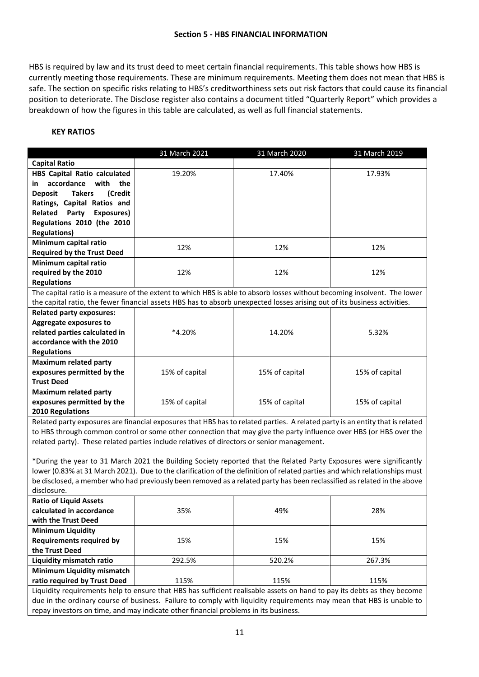#### **Section 5 - HBS FINANCIAL INFORMATION**

HBS is required by law and its trust deed to meet certain financial requirements. This table shows how HBS is currently meeting those requirements. These are minimum requirements. Meeting them does not mean that HBS is safe. The section on specific risks relating to HBS's creditworthiness sets out risk factors that could cause its financial position to deteriorate. The Disclose register also contains a document titled "Quarterly Report" which provides a breakdown of how the figures in this table are calculated, as well as full financial statements.

# **KEY RATIOS**

|                                                                                                                                                                                                                                                   | 31 March 2021  | 31 March 2020  | 31 March 2019  |  |
|---------------------------------------------------------------------------------------------------------------------------------------------------------------------------------------------------------------------------------------------------|----------------|----------------|----------------|--|
| <b>Capital Ratio</b>                                                                                                                                                                                                                              |                |                |                |  |
| <b>HBS Capital Ratio calculated</b>                                                                                                                                                                                                               | 19.20%         | 17.40%         | 17.93%         |  |
| accordance<br>with<br>the<br>in                                                                                                                                                                                                                   |                |                |                |  |
| <b>Takers</b><br><b>Deposit</b><br>(Credit                                                                                                                                                                                                        |                |                |                |  |
| Ratings, Capital Ratios and                                                                                                                                                                                                                       |                |                |                |  |
| Related<br>Party<br>Exposures)                                                                                                                                                                                                                    |                |                |                |  |
| Regulations 2010 (the 2010                                                                                                                                                                                                                        |                |                |                |  |
| <b>Regulations)</b>                                                                                                                                                                                                                               |                |                |                |  |
| Minimum capital ratio                                                                                                                                                                                                                             | 12%            | 12%            | 12%            |  |
| <b>Required by the Trust Deed</b>                                                                                                                                                                                                                 |                |                |                |  |
| Minimum capital ratio                                                                                                                                                                                                                             |                |                |                |  |
| required by the 2010                                                                                                                                                                                                                              | 12%            | 12%            | 12%            |  |
| <b>Regulations</b>                                                                                                                                                                                                                                |                |                |                |  |
| The capital ratio is a measure of the extent to which HBS is able to absorb losses without becoming insolvent. The lower                                                                                                                          |                |                |                |  |
| the capital ratio, the fewer financial assets HBS has to absorb unexpected losses arising out of its business activities.                                                                                                                         |                |                |                |  |
| <b>Related party exposures:</b>                                                                                                                                                                                                                   |                |                |                |  |
| Aggregate exposures to                                                                                                                                                                                                                            |                |                |                |  |
| related parties calculated in                                                                                                                                                                                                                     | *4.20%         | 14.20%         | 5.32%          |  |
| accordance with the 2010                                                                                                                                                                                                                          |                |                |                |  |
| <b>Regulations</b>                                                                                                                                                                                                                                |                |                |                |  |
| <b>Maximum related party</b>                                                                                                                                                                                                                      |                |                |                |  |
| exposures permitted by the                                                                                                                                                                                                                        | 15% of capital | 15% of capital | 15% of capital |  |
| <b>Trust Deed</b>                                                                                                                                                                                                                                 |                |                |                |  |
| <b>Maximum related party</b>                                                                                                                                                                                                                      |                |                |                |  |
| exposures permitted by the                                                                                                                                                                                                                        | 15% of capital | 15% of capital | 15% of capital |  |
| 2010 Regulations                                                                                                                                                                                                                                  |                |                |                |  |
| Related party exposures are financial exposures that HBS has to related parties. A related party is an entity that is related                                                                                                                     |                |                |                |  |
| to HBS through common control or some other connection that may give the party influence over HBS (or HBS over the                                                                                                                                |                |                |                |  |
| related party). These related parties include relatives of directors or senior management.                                                                                                                                                        |                |                |                |  |
|                                                                                                                                                                                                                                                   |                |                |                |  |
| *During the year to 31 March 2021 the Building Society reported that the Related Party Exposures were significantly<br>lower (0.83% at 31 March 2021). Due to the clarification of the definition of related parties and which relationships must |                |                |                |  |
|                                                                                                                                                                                                                                                   |                |                |                |  |
| be disclosed, a member who had previously been removed as a related party has been reclassified as related in the above                                                                                                                           |                |                |                |  |
| disclosure.                                                                                                                                                                                                                                       |                |                |                |  |
| <b>Ratio of Liquid Assets</b>                                                                                                                                                                                                                     |                |                |                |  |
| calculated in accordance                                                                                                                                                                                                                          | 35%            | 49%            | 28%            |  |
| with the Trust Deed                                                                                                                                                                                                                               |                |                |                |  |
| <b>Minimum Liquidity</b>                                                                                                                                                                                                                          |                |                |                |  |
|                                                                                                                                                                                                                                                   | $-\sim$        |                |                |  |

**Requirements required by the Trust Deed** 15% 15% 15% **Liquidity mismatch ratio** 1 292.5% 1 520.2% 267.3% **Minimum Liquidity mismatch ratio required by Trust Deed** 115% 115% 115% 115% 115% 115% Liquidity requirements help to ensure that HBS has sufficient realisable assets on hand to pay its debts as they become

due in the ordinary course of business. Failure to comply with liquidity requirements may mean that HBS is unable to repay investors on time, and may indicate other financial problems in its business.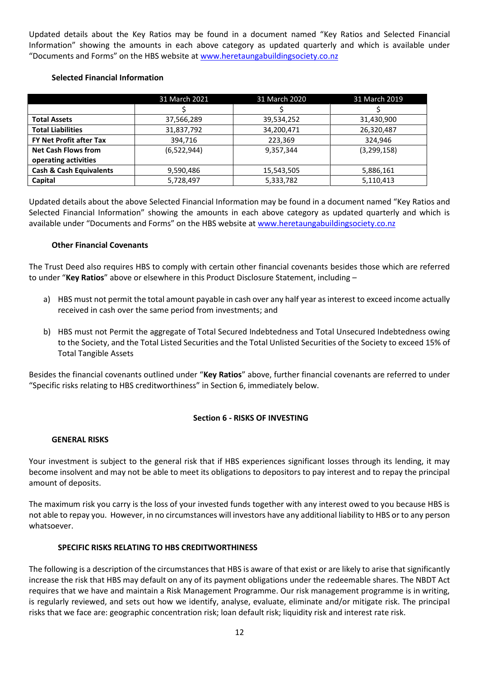Updated details about the Key Ratios may be found in a document named "Key Ratios and Selected Financial Information" showing the amounts in each above category as updated quarterly and which is available under "Documents and Forms" on the HBS website at [www.heretaungabuildingsociety.co.nz](http://www.heretaungabuildingsociety.co.nz/)

# **Selected Financial Information**

|                                    | 31 March 2021 | 31 March 2020 | 31 March 2019 |
|------------------------------------|---------------|---------------|---------------|
|                                    |               |               |               |
| <b>Total Assets</b>                | 37,566,289    | 39,534,252    | 31,430,900    |
| <b>Total Liabilities</b>           | 31,837,792    | 34,200,471    | 26,320,487    |
| <b>FY Net Profit after Tax</b>     | 394,716       | 223,369       | 324.946       |
| <b>Net Cash Flows from</b>         | (6,522,944)   | 9,357,344     | (3,299,158)   |
| operating activities               |               |               |               |
| <b>Cash &amp; Cash Equivalents</b> | 9,590,486     | 15,543,505    | 5,886,161     |
| Capital                            | 5,728,497     | 5,333,782     | 5,110,413     |

Updated details about the above Selected Financial Information may be found in a document named "Key Ratios and Selected Financial Information" showing the amounts in each above category as updated quarterly and which is available under "Documents and Forms" on the HBS website at [www.heretaungabuildingsociety.co.nz](http://www.heretaungabuildingsociety.co.nz/)

# **Other Financial Covenants**

The Trust Deed also requires HBS to comply with certain other financial covenants besides those which are referred to under "**Key Ratios**" above or elsewhere in this Product Disclosure Statement, including –

- a) HBS must not permit the total amount payable in cash over any half year as interest to exceed income actually received in cash over the same period from investments; and
- b) HBS must not Permit the aggregate of Total Secured Indebtedness and Total Unsecured Indebtedness owing to the Society, and the Total Listed Securities and the Total Unlisted Securities of the Society to exceed 15% of Total Tangible Assets

Besides the financial covenants outlined under "**Key Ratios**" above, further financial covenants are referred to under "Specific risks relating to HBS creditworthiness" in Section 6, immediately below.

# **Section 6 - RISKS OF INVESTING**

#### **GENERAL RISKS**

Your investment is subject to the general risk that if HBS experiences significant losses through its lending, it may become insolvent and may not be able to meet its obligations to depositors to pay interest and to repay the principal amount of deposits.

The maximum risk you carry is the loss of your invested funds together with any interest owed to you because HBS is not able to repay you. However, in no circumstances will investors have any additional liability to HBS or to any person whatsoever.

# **SPECIFIC RISKS RELATING TO HBS CREDITWORTHINESS**

The following is a description of the circumstances that HBS is aware of that exist or are likely to arise that significantly increase the risk that HBS may default on any of its payment obligations under the redeemable shares. The NBDT Act requires that we have and maintain a Risk Management Programme. Our risk management programme is in writing, is regularly reviewed, and sets out how we identify, analyse, evaluate, eliminate and/or mitigate risk. The principal risks that we face are: geographic concentration risk; loan default risk; liquidity risk and interest rate risk.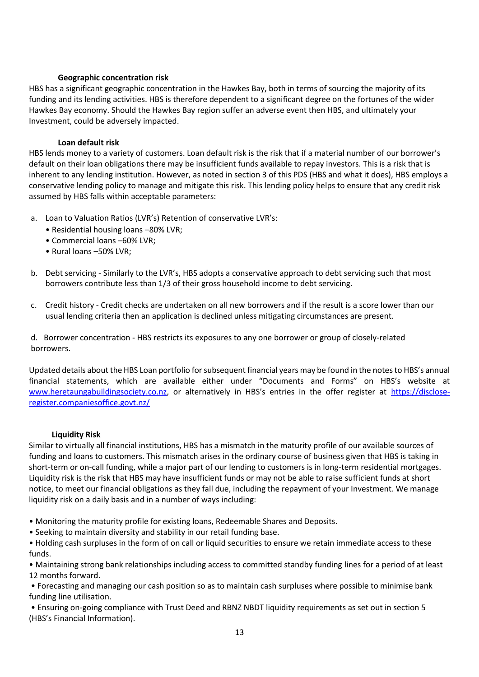# **Geographic concentration risk**

HBS has a significant geographic concentration in the Hawkes Bay, both in terms of sourcing the majority of its funding and its lending activities. HBS is therefore dependent to a significant degree on the fortunes of the wider Hawkes Bay economy. Should the Hawkes Bay region suffer an adverse event then HBS, and ultimately your Investment, could be adversely impacted.

# **Loan default risk**

HBS lends money to a variety of customers. Loan default risk is the risk that if a material number of our borrower's default on their loan obligations there may be insufficient funds available to repay investors. This is a risk that is inherent to any lending institution. However, as noted in section 3 of this PDS (HBS and what it does), HBS employs a conservative lending policy to manage and mitigate this risk. This lending policy helps to ensure that any credit risk assumed by HBS falls within acceptable parameters:

- a. Loan to Valuation Ratios (LVR's) Retention of conservative LVR's:
	- Residential housing loans –80% LVR;
	- Commercial loans –60% LVR;
	- Rural loans –50% LVR;
- b. Debt servicing Similarly to the LVR's, HBS adopts a conservative approach to debt servicing such that most borrowers contribute less than 1/3 of their gross household income to debt servicing.
- c. Credit history Credit checks are undertaken on all new borrowers and if the result is a score lower than our usual lending criteria then an application is declined unless mitigating circumstances are present.

d. Borrower concentration - HBS restricts its exposures to any one borrower or group of closely-related borrowers.

Updated details about the HBS Loan portfolio for subsequent financial years may be found in the notes to HBS's annual financial statements, which are available either under "Documents and Forms" on HBS's website at [www.heretaungabuildingsociety.co.nz](http://www.heretaungabuildingsociety.co.nz/), or alternatively in HBS's entries in the offer register at [https://disclose](https://disclose-register.companiesoffice.govt.nz/)[register.companiesoffice.govt.nz/](https://disclose-register.companiesoffice.govt.nz/)

#### **Liquidity Risk**

Similar to virtually all financial institutions, HBS has a mismatch in the maturity profile of our available sources of funding and loans to customers. This mismatch arises in the ordinary course of business given that HBS is taking in short-term or on-call funding, while a major part of our lending to customers is in long-term residential mortgages. Liquidity risk is the risk that HBS may have insufficient funds or may not be able to raise sufficient funds at short notice, to meet our financial obligations as they fall due, including the repayment of your Investment. We manage liquidity risk on a daily basis and in a number of ways including:

- Monitoring the maturity profile for existing loans, Redeemable Shares and Deposits.
- Seeking to maintain diversity and stability in our retail funding base.

• Holding cash surpluses in the form of on call or liquid securities to ensure we retain immediate access to these funds.

• Maintaining strong bank relationships including access to committed standby funding lines for a period of at least 12 months forward.

• Forecasting and managing our cash position so as to maintain cash surpluses where possible to minimise bank funding line utilisation.

• Ensuring on-going compliance with Trust Deed and RBNZ NBDT liquidity requirements as set out in section 5 (HBS's Financial Information).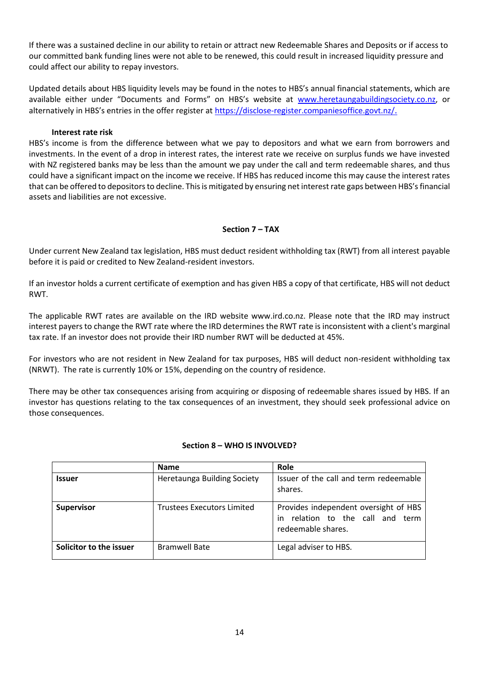If there was a sustained decline in our ability to retain or attract new Redeemable Shares and Deposits or if access to our committed bank funding lines were not able to be renewed, this could result in increased liquidity pressure and could affect our ability to repay investors.

Updated details about HBS liquidity levels may be found in the notes to HBS's annual financial statements, which are available either under "Documents and Forms" on HBS's website at [www.heretaungabuildingsociety.co.nz,](http://www.heretaungabuildingsociety.co.nz/) or alternatively in HBS's entries in the offer register at <https://disclose-register.companiesoffice.govt.nz/>.

# **Interest rate risk**

HBS's income is from the difference between what we pay to depositors and what we earn from borrowers and investments. In the event of a drop in interest rates, the interest rate we receive on surplus funds we have invested with NZ registered banks may be less than the amount we pay under the call and term redeemable shares, and thus could have a significant impact on the income we receive. If HBS has reduced income this may cause the interest rates that can be offered to depositors to decline. This is mitigated by ensuring net interest rate gaps between HBS's financial assets and liabilities are not excessive.

# **Section 7 – TAX**

Under current New Zealand tax legislation, HBS must deduct resident withholding tax (RWT) from all interest payable before it is paid or credited to New Zealand-resident investors.

If an investor holds a current certificate of exemption and has given HBS a copy of that certificate, HBS will not deduct RWT.

The applicable RWT rates are available on the IRD website www.ird.co.nz. Please note that the IRD may instruct interest payers to change the RWT rate where the IRD determines the RWT rate is inconsistent with a client's marginal tax rate. If an investor does not provide their IRD number RWT will be deducted at 45%.

For investors who are not resident in New Zealand for tax purposes, HBS will deduct non-resident withholding tax (NRWT). The rate is currently 10% or 15%, depending on the country of residence.

There may be other tax consequences arising from acquiring or disposing of redeemable shares issued by HBS. If an investor has questions relating to the tax consequences of an investment, they should seek professional advice on those consequences.

|                         | <b>Name</b>                        | Role                                                                                               |
|-------------------------|------------------------------------|----------------------------------------------------------------------------------------------------|
| <b>Issuer</b>           | <b>Heretaunga Building Society</b> | Issuer of the call and term redeemable<br>shares.                                                  |
| <b>Supervisor</b>       | Trustees Executors Limited         | Provides independent oversight of HBS<br>relation to the call and term<br>in<br>redeemable shares. |
| Solicitor to the issuer | <b>Bramwell Bate</b>               | Legal adviser to HBS.                                                                              |

#### **Section 8 – WHO IS INVOLVED?**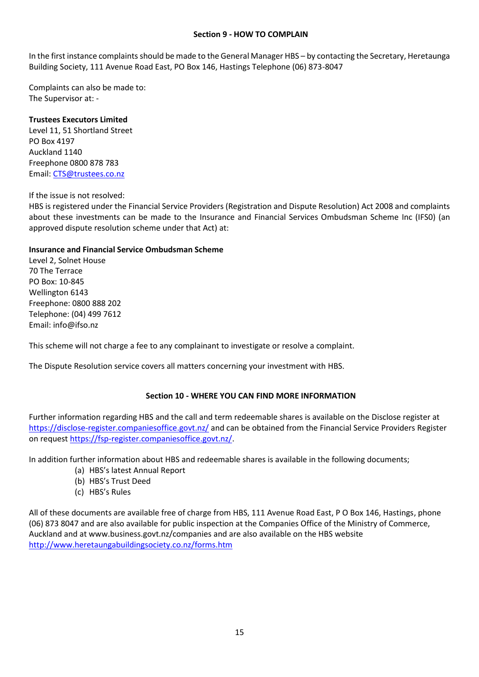# **Section 9 - HOW TO COMPLAIN**

In the first instance complaints should be made to the General Manager HBS – by contacting the Secretary, Heretaunga Building Society, 111 Avenue Road East, PO Box 146, Hastings Telephone (06) 873-8047

Complaints can also be made to: The Supervisor at: -

# **Trustees Executors Limited**

Level 11, 51 Shortland Street PO Box 4197 Auckland 1140 Freephone 0800 878 783 Email: [CTS@trustees.co.nz](mailto:CTS@trustees.co.nz)

#### If the issue is not resolved:

HBS is registered under the Financial Service Providers (Registration and Dispute Resolution) Act 2008 and complaints about these investments can be made to the Insurance and Financial Services Ombudsman Scheme Inc (IFS0) (an approved dispute resolution scheme under that Act) at:

# **Insurance and Financial Service Ombudsman Scheme**

Level 2, Solnet House 70 The Terrace PO Box: 10-845 Wellington 6143 Freephone: 0800 888 202 Telephone: (04) 499 7612 Email: [info@ifso.nz](mailto:info@ifso.nz)

This scheme will not charge a fee to any complainant to investigate or resolve a complaint.

The Dispute Resolution service covers all matters concerning your investment with HBS.

# **Section 10 - WHERE YOU CAN FIND MORE INFORMATION**

Further information regarding HBS and the call and term redeemable shares is available on the Disclose register at <https://disclose-register.companiesoffice.govt.nz/> and can be obtained from the Financial Service Providers Register on request [https://fsp-register.companiesoffice.govt.nz/.](https://fsp-register.companiesoffice.govt.nz/)

In addition further information about HBS and redeemable shares is available in the following documents;

- (a) HBS's latest Annual Report
- (b) HBS's Trust Deed
- (c) HBS's Rules

All of these documents are available free of charge from HBS, 111 Avenue Road East, P O Box 146, Hastings, phone (06) 873 8047 and are also available for public inspection at the Companies Office of the Ministry of Commerce, Auckland and at www.business.govt.nz/companies and are also available on the HBS website <http://www.heretaungabuildingsociety.co.nz/forms.htm>